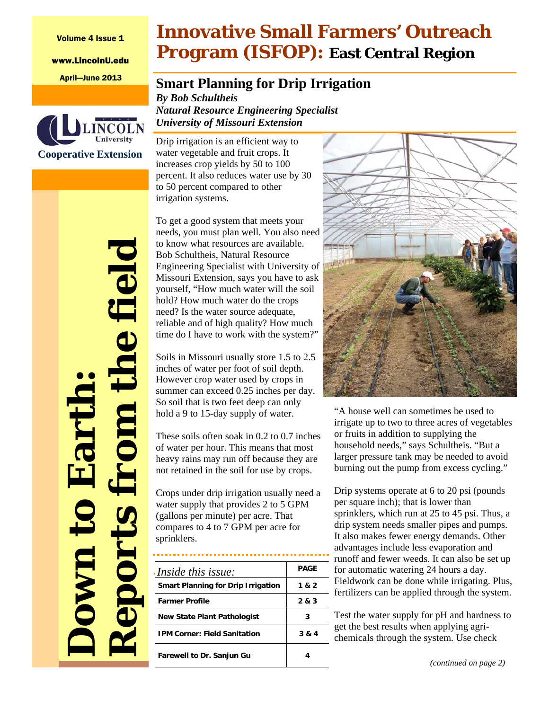Volume 4 Issue 1

www.LincolnU.edu



**Down to Earth:** 

**UAYO** 

Eart

*Reports from the field* 

**MIG.** 

eports

he fiel

# **Innovative Small Farmers' Outreach Program (ISFOP): East Central Region**

## April—June 2013 **Smart Planning for Drip Irrigation**

*By Bob Schultheis Natural Resource Engineering Specialist University of Missouri Extension* 

Drip irrigation is an efficient way to water vegetable and fruit crops. It increases crop yields by 50 to 100 percent. It also reduces water use by 30 to 50 percent compared to other irrigation systems.

To get a good system that meets your needs, you must plan well. You also need to know what resources are available. Bob Schultheis, Natural Resource Engineering Specialist with University of Missouri Extension, says you have to ask yourself, "How much water will the soil hold? How much water do the crops need? Is the water source adequate, reliable and of high quality? How much time do I have to work with the system?"

Soils in Missouri usually store 1.5 to 2.5 inches of water per foot of soil depth. However crop water used by crops in summer can exceed 0.25 inches per day. So soil that is two feet deep can only hold a 9 to 15-day supply of water.

These soils often soak in 0.2 to 0.7 inches of water per hour. This means that most heavy rains may run off because they are not retained in the soil for use by crops.

Crops under drip irrigation usually need a water supply that provides 2 to 5 GPM (gallons per minute) per acre. That compares to 4 to 7 GPM per acre for sprinklers.

| <i>Inside this issue:</i>                 | PAGE  |
|-------------------------------------------|-------|
| <b>Smart Planning for Drip Irrigation</b> | 1 & 2 |
| <b>Farmer Profile</b>                     | 2 & 3 |
| <b>New State Plant Pathologist</b>        | 3     |
| <b>IPM Corner: Field Sanitation</b>       | 3 & 4 |
| <b>Farewell to Dr. Sanjun Gu</b>          |       |



"A house well can sometimes be used to irrigate up to two to three acres of vegetables or fruits in addition to supplying the household needs," says Schultheis. "But a larger pressure tank may be needed to avoid burning out the pump from excess cycling."

Drip systems operate at 6 to 20 psi (pounds per square inch); that is lower than sprinklers, which run at 25 to 45 psi. Thus, a drip system needs smaller pipes and pumps. It also makes fewer energy demands. Other advantages include less evaporation and runoff and fewer weeds. It can also be set up for automatic watering 24 hours a day. Fieldwork can be done while irrigating. Plus, - fertilizers can be applied through the system.

Test the water supply for pH and hardness to get the best results when applying agrichemicals through the system. Use check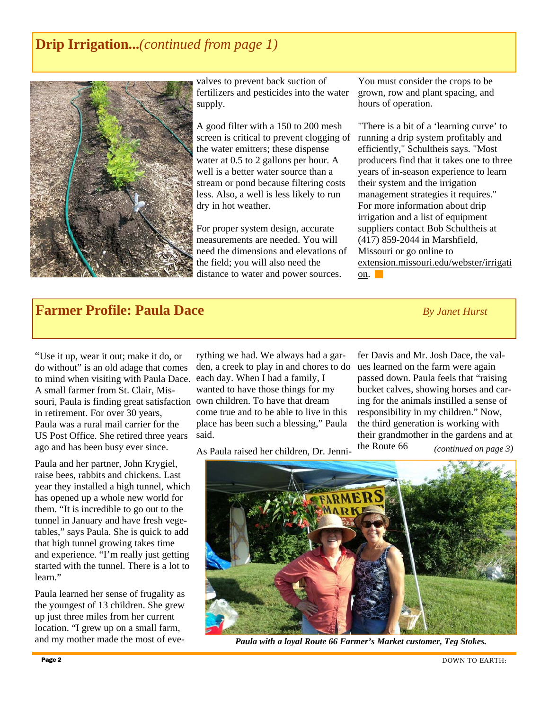## **Drip Irrigation...***(continued from page 1)*



valves to prevent back suction of fertilizers and pesticides into the water supply.

A good filter with a 150 to 200 mesh screen is critical to prevent clogging of the water emitters; these dispense water at 0.5 to 2 gallons per hour. A well is a better water source than a stream or pond because filtering costs less. Also, a well is less likely to run dry in hot weather.

For proper system design, accurate measurements are needed. You will need the dimensions and elevations of the field; you will also need the distance to water and power sources.

You must consider the crops to be grown, row and plant spacing, and hours of operation.

"There is a bit of a 'learning curve' to running a drip system profitably and efficiently," Schultheis says. "Most producers find that it takes one to three years of in-season experience to learn their system and the irrigation management strategies it requires." For more information about drip irrigation and a list of equipment suppliers contact Bob Schultheis at (417) 859-2044 in Marshfield, Missouri or go online to extension.missouri.edu/webster/irrigati on.

## **Farmer Profile: Paula Dace** *By Janet Hurst*

"Use it up, wear it out; make it do, or do without" is an old adage that comes to mind when visiting with Paula Dace. A small farmer from St. Clair, Missouri, Paula is finding great satisfaction own children. To have that dream in retirement. For over 30 years, Paula was a rural mail carrier for the US Post Office. She retired three years ago and has been busy ever since.

Paula and her partner, John Krygiel, raise bees, rabbits and chickens. Last year they installed a high tunnel, which has opened up a whole new world for them. "It is incredible to go out to the tunnel in January and have fresh vegetables," says Paula. She is quick to add that high tunnel growing takes time and experience. "I'm really just getting started with the tunnel. There is a lot to learn."

Paula learned her sense of frugality as the youngest of 13 children. She grew up just three miles from her current location. "I grew up on a small farm, and my mother made the most of eve-

rything we had. We always had a garden, a creek to play in and chores to do each day. When I had a family, I wanted to have those things for my come true and to be able to live in this place has been such a blessing," Paula said.

As Paula raised her children, Dr. Jenni-

fer Davis and Mr. Josh Dace, the values learned on the farm were again passed down. Paula feels that "raising bucket calves, showing horses and caring for the animals instilled a sense of responsibility in my children." Now, the third generation is working with their grandmother in the gardens and at the Route 66 *(continued on page 3)* 



*Paula with a loyal Route 66 Farmer's Market customer, Teg Stokes.*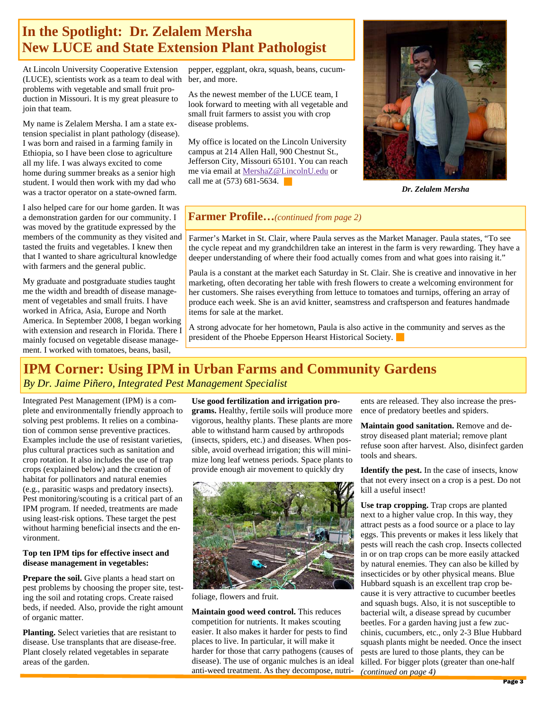## **In the Spotlight: Dr. Zelalem Mersha New LUCE and State Extension Plant Pathologist**

At Lincoln University Cooperative Extension (LUCE), scientists work as a team to deal with problems with vegetable and small fruit production in Missouri. It is my great pleasure to join that team.

My name is Zelalem Mersha. I am a state extension specialist in plant pathology (disease). I was born and raised in a farming family in Ethiopia, so I have been close to agriculture all my life. I was always excited to come home during summer breaks as a senior high student. I would then work with my dad who was a tractor operator on a state-owned farm.

I also helped care for our home garden. It was a demonstration garden for our community. I was moved by the gratitude expressed by the members of the community as they visited and tasted the fruits and vegetables. I knew then that I wanted to share agricultural knowledge with farmers and the general public.

My graduate and postgraduate studies taught me the width and breadth of disease management of vegetables and small fruits. I have worked in Africa, Asia, Europe and North America. In September 2008, I began working with extension and research in Florida. There I mainly focused on vegetable disease management. I worked with tomatoes, beans, basil,

pepper, eggplant, okra, squash, beans, cucumber, and more.

As the newest member of the LUCE team, I look forward to meeting with all vegetable and small fruit farmers to assist you with crop disease problems.

My office is located on the Lincoln University campus at 214 Allen Hall, 900 Chestnut St., Jefferson City, Missouri 65101. You can reach me via email at MershaZ@LincolnU.edu or call me at (573) 681-5634.



*Dr. Zelalem Mersha* 

#### **Farmer Profile…***(continued from page 2)*

Farmer's Market in St. Clair, where Paula serves as the Market Manager. Paula states, "To see the cycle repeat and my grandchildren take an interest in the farm is very rewarding. They have a deeper understanding of where their food actually comes from and what goes into raising it."

Paula is a constant at the market each Saturday in St. Clair. She is creative and innovative in her marketing, often decorating her table with fresh flowers to create a welcoming environment for her customers. She raises everything from lettuce to tomatoes and turnips, offering an array of produce each week. She is an avid knitter, seamstress and craftsperson and features handmade items for sale at the market.

A strong advocate for her hometown, Paula is also active in the community and serves as the president of the Phoebe Epperson Hearst Historical Society.

## **IPM Corner: Using IPM in Urban Farms and Community Gardens**

#### *By Dr. Jaime Piñero, Integrated Pest Management Specialist*

Integrated Pest Management (IPM) is a complete and environmentally friendly approach to solving pest problems. It relies on a combination of common sense preventive practices. Examples include the use of resistant varieties, plus cultural practices such as sanitation and crop rotation. It also includes the use of trap crops (explained below) and the creation of habitat for pollinators and natural enemies (e.g., parasitic wasps and predatory insects). Pest monitoring/scouting is a critical part of an IPM program. If needed, treatments are made using least-risk options. These target the pest without harming beneficial insects and the environment.

#### **Top ten IPM tips for effective insect and disease management in vegetables:**

**Prepare the soil.** Give plants a head start on pest problems by choosing the proper site, testing the soil and rotating crops. Create raised beds, if needed. Also, provide the right amount of organic matter.

**Planting.** Select varieties that are resistant to disease. Use transplants that are disease-free. Plant closely related vegetables in separate areas of the garden.

**Use good fertilization and irrigation pro-**

**grams.** Healthy, fertile soils will produce more vigorous, healthy plants. These plants are more able to withstand harm caused by arthropods (insects, spiders, etc.) and diseases. When possible, avoid overhead irrigation; this will minimize long leaf wetness periods. Space plants to provide enough air movement to quickly dry



foliage, flowers and fruit.

**Maintain good weed control.** This reduces competition for nutrients. It makes scouting easier. It also makes it harder for pests to find places to live. In particular, it will make it harder for those that carry pathogens (causes of disease). The use of organic mulches is an ideal anti-weed treatment. As they decompose, nutri-*(continued on page 4)* 

ents are released. They also increase the presence of predatory beetles and spiders.

**Maintain good sanitation.** Remove and destroy diseased plant material; remove plant refuse soon after harvest. Also, disinfect garden tools and shears.

**Identify the pest.** In the case of insects, know that not every insect on a crop is a pest. Do not kill a useful insect!

**Use trap cropping.** Trap crops are planted next to a higher value crop. In this way, they attract pests as a food source or a place to lay eggs. This prevents or makes it less likely that pests will reach the cash crop. Insects collected in or on trap crops can be more easily attacked by natural enemies. They can also be killed by insecticides or by other physical means. Blue Hubbard squash is an excellent trap crop because it is very attractive to cucumber beetles and squash bugs. Also, it is not susceptible to bacterial wilt, a disease spread by cucumber beetles. For a garden having just a few zucchinis, cucumbers, etc., only 2-3 Blue Hubbard squash plants might be needed. Once the insect pests are lured to those plants, they can be killed. For bigger plots (greater than one-half